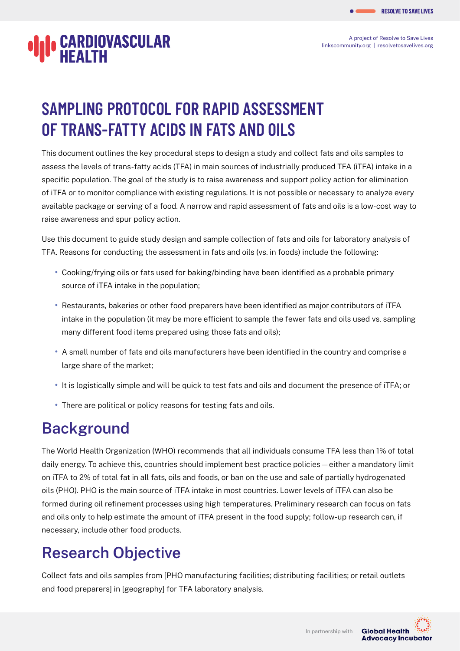A project of Resolve to Save Lives [linkscommunity.org](https://linkscommunity.org) | [resolvetosavelives.org](https://resolvetosavelives.org)

# **CARDIOVASCULAR**

## **SAMPLING PROTOCOL FOR RAPID ASSESSMENT OF TRANS-FATTY ACIDS IN FATS AND OILS**

This document outlines the key procedural steps to design a study and collect fats and oils samples to assess the levels of trans-fatty acids (TFA) in main sources of industrially produced TFA (iTFA) intake in a specific population. The goal of the study is to raise awareness and support policy action for elimination of iTFA or to monitor compliance with existing regulations. It is not possible or necessary to analyze every available package or serving of a food. A narrow and rapid assessment of fats and oils is a low-cost way to raise awareness and spur policy action.

Use this document to guide study design and sample collection of fats and oils for laboratory analysis of TFA. Reasons for conducting the assessment in fats and oils (vs. in foods) include the following:

- **•** Cooking/frying oils or fats used for baking/binding have been identified as a probable primary source of iTFA intake in the population;
- **•** Restaurants, bakeries or other food preparers have been identified as major contributors of iTFA intake in the population (it may be more efficient to sample the fewer fats and oils used vs. sampling many different food items prepared using those fats and oils);
- **•** A small number of fats and oils manufacturers have been identified in the country and comprise a large share of the market;
- **•** It is logistically simple and will be quick to test fats and oils and document the presence of iTFA; or
- **•** There are political or policy reasons for testing fats and oils.

### **Background**

The World Health Organization (WHO) recommends that all individuals consume TFA less than 1% of total daily energy. To achieve this, countries should implement best practice policies—either a mandatory limit on iTFA to 2% of total fat in all fats, oils and foods, or ban on the use and sale of partially hydrogenated oils (PHO). PHO is the main source of iTFA intake in most countries. Lower levels of iTFA can also be formed during oil refinement processes using high temperatures. Preliminary research can focus on fats and oils only to help estimate the amount of iTFA present in the food supply; follow-up research can, if necessary, include other food products.

### **Research Objective**

Collect fats and oils samples from [PHO manufacturing facilities; distributing facilities; or retail outlets and food preparers] in [geography] for TFA laboratory analysis.

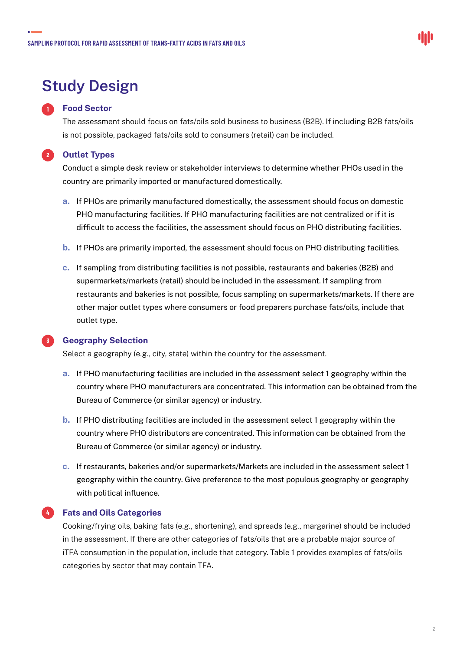### **Study Design**

#### **Food Sector**

**1**

The assessment should focus on fats/oils sold business to business (B2B). If including B2B fats/oils is not possible, packaged fats/oils sold to consumers (retail) can be included.

#### **Outlet Types 2**

Conduct a simple desk review or stakeholder interviews to determine whether PHOs used in the country are primarily imported or manufactured domestically.

- **a.** If PHOs are primarily manufactured domestically, the assessment should focus on domestic PHO manufacturing facilities. If PHO manufacturing facilities are not centralized or if it is difficult to access the facilities, the assessment should focus on PHO distributing facilities.
- **b.** If PHOs are primarily imported, the assessment should focus on PHO distributing facilities.
- **c.** If sampling from distributing facilities is not possible, restaurants and bakeries (B2B) and supermarkets/markets (retail) should be included in the assessment. If sampling from restaurants and bakeries is not possible, focus sampling on supermarkets/markets. If there are other major outlet types where consumers or food preparers purchase fats/oils, include that outlet type.

#### **3**

#### **Geography Selection**

Select a geography (e.g., city, state) within the country for the assessment.

- **a.** If PHO manufacturing facilities are included in the assessment select 1 geography within the country where PHO manufacturers are concentrated. This information can be obtained from the Bureau of Commerce (or similar agency) or industry.
- **b.** If PHO distributing facilities are included in the assessment select 1 geography within the country where PHO distributors are concentrated. This information can be obtained from the Bureau of Commerce (or similar agency) or industry.
- **c.** If restaurants, bakeries and/or supermarkets/Markets are included in the assessment select 1 geography within the country. Give preference to the most populous geography or geography with political influence.



#### **Fats and Oils Categories 4**

Cooking/frying oils, baking fats (e.g., shortening), and spreads (e.g., margarine) should be included in the assessment. If there are other categories of fats/oils that are a probable major source of iTFA consumption in the population, include that category. Table 1 provides examples of fats/oils categories by sector that may contain TFA.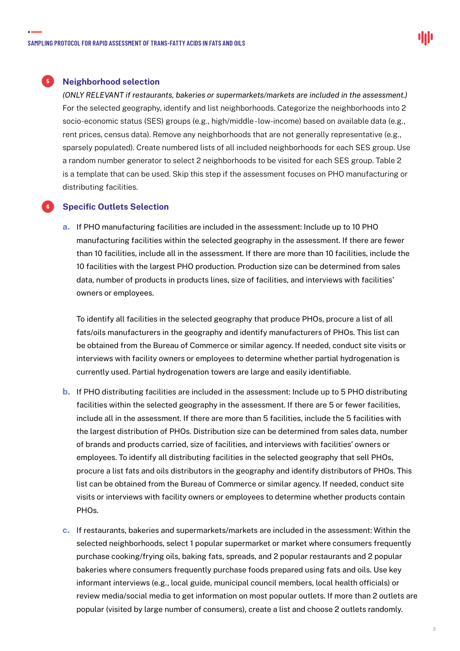#### **5** Neighborhood selection

*(ONLY RELEVANT if restaurants, bakeries or supermarkets/markets are included in the assessment.)*  For the selected geography, identify and list neighborhoods. Categorize the neighborhoods into 2 socio-economic status (SES) groups (e.g., high/middle - low-income) based on available data (e.g., rent prices, census data). Remove any neighborhoods that are not generally representative (e.g., sparsely populated). Create numbered lists of all included neighborhoods for each SES group. Use a random number generator to select 2 neighborhoods to be visited for each SES group. Table 2 is a template that can be used. Skip this step if the assessment focuses on PHO manufacturing or distributing facilities.

#### **Specific Outlets Selection**

**6**

**a.** If PHO manufacturing facilities are included in the assessment: Include up to 10 PHO manufacturing facilities within the selected geography in the assessment. If there are fewer than 10 facilities, include all in the assessment. If there are more than 10 facilities, include the 10 facilities with the largest PHO production. Production size can be determined from sales data, number of products in products lines, size of facilities, and interviews with facilities' owners or employees.

To identify all facilities in the selected geography that produce PHOs, procure a list of all fats/oils manufacturers in the geography and identify manufacturers of PHOs. This list can be obtained from the Bureau of Commerce or similar agency. If needed, conduct site visits or interviews with facility owners or employees to determine whether partial hydrogenation is currently used. Partial hydrogenation towers are large and easily identifiable.

- **b.** If PHO distributing facilities are included in the assessment: Include up to 5 PHO distributing facilities within the selected geography in the assessment. If there are 5 or fewer facilities, include all in the assessment. If there are more than 5 facilities, include the 5 facilities with the largest distribution of PHOs. Distribution size can be determined from sales data, number of brands and products carried, size of facilities, and interviews with facilities' owners or employees. To identify all distributing facilities in the selected geography that sell PHOs, procure a list fats and oils distributors in the geography and identify distributors of PHOs. This list can be obtained from the Bureau of Commerce or similar agency. If needed, conduct site visits or interviews with facility owners or employees to determine whether products contain PHOs.
- **c.** If restaurants, bakeries and supermarkets/markets are included in the assessment: Within the selected neighborhoods, select 1 popular supermarket or market where consumers frequently purchase cooking/frying oils, baking fats, spreads, and 2 popular restaurants and 2 popular bakeries where consumers frequently purchase foods prepared using fats and oils. Use key informant interviews (e.g., local guide, municipal council members, local health officials) or review media/social media to get information on most popular outlets. If more than 2 outlets are popular (visited by large number of consumers), create a list and choose 2 outlets randomly.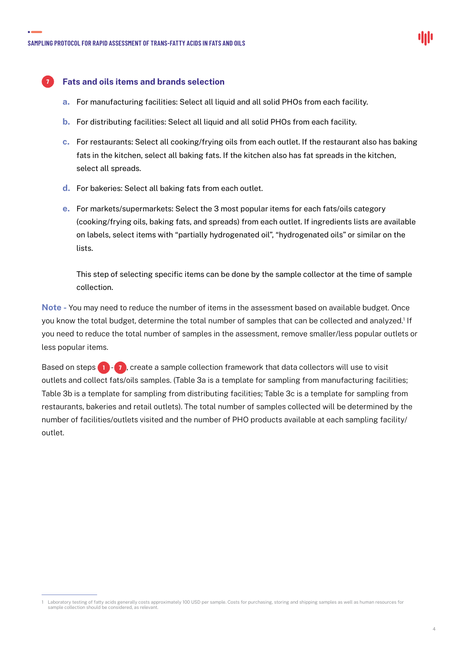

#### **Fats and oils items and brands selection**

**7**

- **a.** For manufacturing facilities: Select all liquid and all solid PHOs from each facility.
- **b.** For distributing facilities: Select all liquid and all solid PHOs from each facility.
- **c.** For restaurants: Select all cooking/frying oils from each outlet. If the restaurant also has baking fats in the kitchen, select all baking fats. If the kitchen also has fat spreads in the kitchen, select all spreads.
- **d.** For bakeries: Select all baking fats from each outlet.
- **e.** For markets/supermarkets: Select the 3 most popular items for each fats/oils category (cooking/frying oils, baking fats, and spreads) from each outlet. If ingredients lists are available on labels, select items with "partially hydrogenated oil", "hydrogenated oils" or similar on the lists.

This step of selecting specific items can be done by the sample collector at the time of sample collection.

**Note -** You may need to reduce the number of items in the assessment based on available budget. Once you know the total budget, determine the total number of samples that can be collected and analyzed.<sup>1</sup> If you need to reduce the total number of samples in the assessment, remove smaller/less popular outlets or less popular items.

Based on steps **1** - **7** , create a sample collection framework that data collectors will use to visit outlets and collect fats/oils samples. (Table 3a is a template for sampling from manufacturing facilities; Table 3b is a template for sampling from distributing facilities; Table 3c is a template for sampling from restaurants, bakeries and retail outlets). The total number of samples collected will be determined by the number of facilities/outlets visited and the number of PHO products available at each sampling facility/ outlet.

<sup>1</sup> Laboratory testing of fatty acids generally costs approximately 100 USD per sample. Costs for purchasing, storing and shipping samples as well as human resources for sample collection should be considered, as relevant.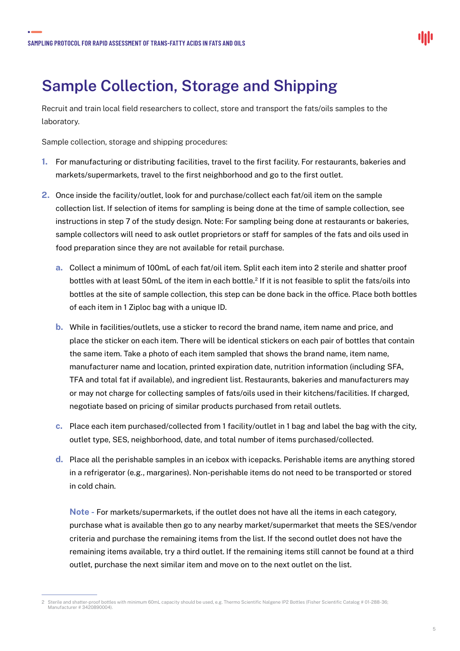### **Sample Collection, Storage and Shipping**

Recruit and train local field researchers to collect, store and transport the fats/oils samples to the laboratory.

Sample collection, storage and shipping procedures:

- **1.** For manufacturing or distributing facilities, travel to the first facility. For restaurants, bakeries and markets/supermarkets, travel to the first neighborhood and go to the first outlet.
- **2.** Once inside the facility/outlet, look for and purchase/collect each fat/oil item on the sample collection list. If selection of items for sampling is being done at the time of sample collection, see instructions in step 7 of the study design. Note: For sampling being done at restaurants or bakeries, sample collectors will need to ask outlet proprietors or staff for samples of the fats and oils used in food preparation since they are not available for retail purchase.
	- **a.** Collect a minimum of 100mL of each fat/oil item. Split each item into 2 sterile and shatter proof bottles with at least 50mL of the item in each bottle.2 If it is not feasible to split the fats/oils into bottles at the site of sample collection, this step can be done back in the office. Place both bottles of each item in 1 Ziploc bag with a unique ID.
	- **b.** While in facilities/outlets, use a sticker to record the brand name, item name and price, and place the sticker on each item. There will be identical stickers on each pair of bottles that contain the same item. Take a photo of each item sampled that shows the brand name, item name, manufacturer name and location, printed expiration date, nutrition information (including SFA, TFA and total fat if available), and ingredient list. Restaurants, bakeries and manufacturers may or may not charge for collecting samples of fats/oils used in their kitchens/facilities. If charged, negotiate based on pricing of similar products purchased from retail outlets.
	- **c.** Place each item purchased/collected from 1 facility/outlet in 1 bag and label the bag with the city, outlet type, SES, neighborhood, date, and total number of items purchased/collected.
	- **d.** Place all the perishable samples in an icebox with icepacks. Perishable items are anything stored in a refrigerator (e.g., margarines). Non-perishable items do not need to be transported or stored in cold chain.

**Note -** For markets/supermarkets, if the outlet does not have all the items in each category, purchase what is available then go to any nearby market/supermarket that meets the SES/vendor criteria and purchase the remaining items from the list. If the second outlet does not have the remaining items available, try a third outlet. If the remaining items still cannot be found at a third outlet, purchase the next similar item and move on to the next outlet on the list.

<sup>2</sup> Sterile and shatter-proof bottles with minimum 60mL capacity should be used, e.g. Thermo Scientific Nalgene IP2 Bottles (Fisher Scientific Catalog # 01-288-36; lanufacturer # 3420890004).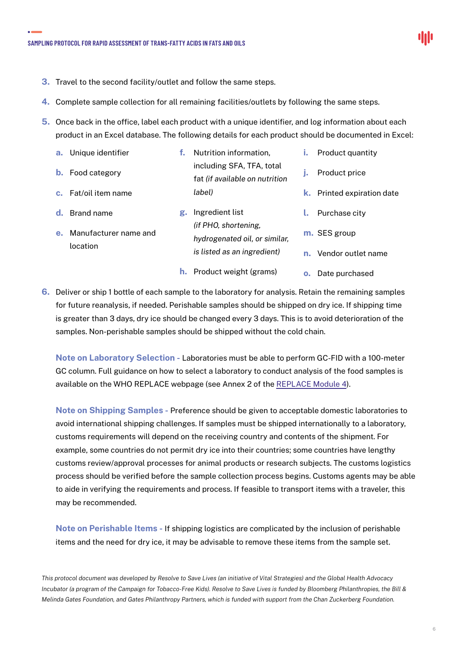

- **3.** Travel to the second facility/outlet and follow the same steps.
- **4.** Complete sample collection for all remaining facilities/outlets by following the same steps.
- **5.** Once back in the office, label each product with a unique identifier, and log information about each product in an Excel database. The following details for each product should be documented in Excel:

|    | a. Unique identifier                            |    | Nutrition information,                                                                                  | ī.      | Product quantity                                    |
|----|-------------------------------------------------|----|---------------------------------------------------------------------------------------------------------|---------|-----------------------------------------------------|
| b. | Food category                                   |    | including SFA, TFA, total                                                                               |         | Product price                                       |
|    |                                                 |    | fat (if available on nutrition                                                                          |         |                                                     |
|    | <b>c.</b> Fat/oil item name                     |    | label)                                                                                                  | k.      | Printed expiration date                             |
| e. | Brand name<br>Manufacturer name and<br>location | g. | Ingredient list<br>(if PHO, shortening,<br>hydrogenated oil, or similar,<br>is listed as an ingredient) | $n_{-}$ | Purchase city<br>m. SES group<br>Vendor outlet name |

**6.** Deliver or ship 1 bottle of each sample to the laboratory for analysis. Retain the remaining samples for future reanalysis, if needed. Perishable samples should be shipped on dry ice. If shipping time is greater than 3 days, dry ice should be changed every 3 days. This is to avoid deterioration of the samples. Non-perishable samples should be shipped without the cold chain.

**h.** Product weight (grams)

**o.** Date purchased

**Note on Laboratory Selection -** Laboratories must be able to perform GC-FID with a 100-meter GC column. Full guidance on how to select a laboratory to conduct analysis of the food samples is available on the WHO REPLACE webpage (see Annex 2 of the [REPLACE Module 4\)](https://apps.who.int/iris/bitstream/handle/10665/324823/WHO-NMH-NHD-19.15-eng.pdf).

**Note on Shipping Samples -** Preference should be given to acceptable domestic laboratories to avoid international shipping challenges. If samples must be shipped internationally to a laboratory, customs requirements will depend on the receiving country and contents of the shipment. For example, some countries do not permit dry ice into their countries; some countries have lengthy customs review/approval processes for animal products or research subjects. The customs logistics process should be verified before the sample collection process begins. Customs agents may be able to aide in verifying the requirements and process. If feasible to transport items with a traveler, this may be recommended.

**Note on Perishable Items -** If shipping logistics are complicated by the inclusion of perishable items and the need for dry ice, it may be advisable to remove these items from the sample set.

*This protocol document was developed by Resolve to Save Lives (an initiative of Vital Strategies) and the Global Health Advocacy Incubator (a program of the Campaign for Tobacco-Free Kids). Resolve to Save Lives is funded by Bloomberg Philanthropies, the Bill & Melinda Gates Foundation, and Gates Philanthropy Partners, which is funded with support from the Chan Zuckerberg Foundation.*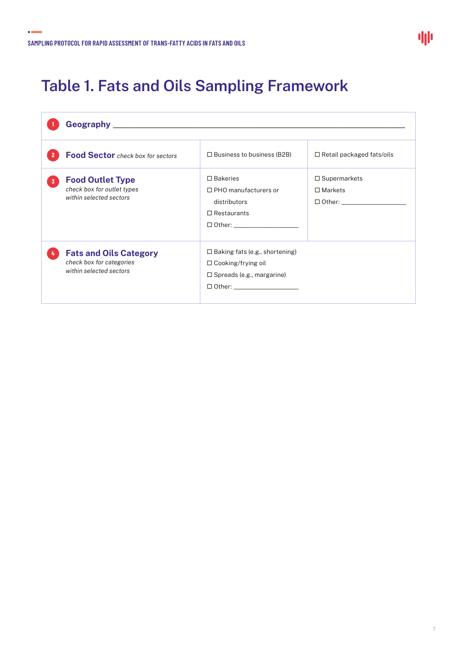$\ddot{\bullet}$ 

### **Table 1. Fats and Oils Sampling Framework**

|                | <b>Food Sector</b> check box for sectors                                             | $\Box$ Business to business (B2B)                                                                                                           | $\Box$ Retail packaged fats/oils      |
|----------------|--------------------------------------------------------------------------------------|---------------------------------------------------------------------------------------------------------------------------------------------|---------------------------------------|
| $\overline{3}$ | <b>Food Outlet Type</b><br>check box for outlet types<br>within selected sectors     | $\Box$ Bakeries<br>$\Box$ PHO manufacturers or<br>distributors<br>$\Box$ Restaurants<br>□ Other: ________________________                   | $\Box$ Supermarkets<br>$\Box$ Markets |
|                | <b>Fats and Oils Category</b><br>check box for categories<br>within selected sectors | $\Box$ Baking fats (e.g., shortening)<br>$\Box$ Cooking/frying oil<br>$\Box$ Spreads (e.g., margarine)<br>□ Other: ________________________ |                                       |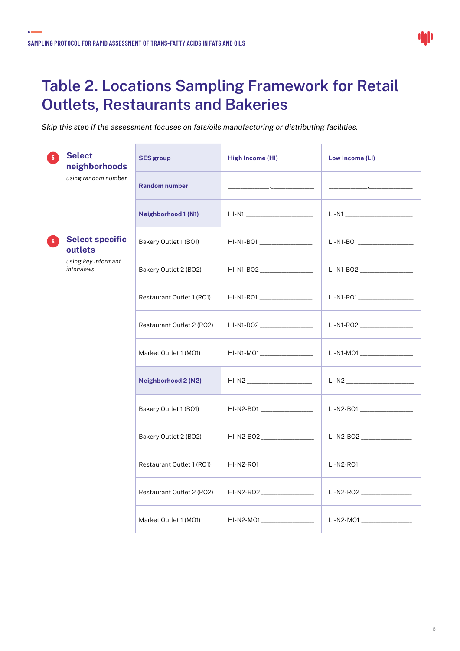$\bullet$ 

### **Table 2. Locations Sampling Framework for Retail Outlets, Restaurants and Bakeries**

*Skip this step if the assessment focuses on fats/oils manufacturing or distributing facilities.*

| 局              | <b>Select</b><br>neighborhoods                                         | <b>SES group</b>              | <b>High Income (HI)</b>                                                                                                                                                                                                              | Low Income (LI)                                                                                                                                                                                                                      |
|----------------|------------------------------------------------------------------------|-------------------------------|--------------------------------------------------------------------------------------------------------------------------------------------------------------------------------------------------------------------------------------|--------------------------------------------------------------------------------------------------------------------------------------------------------------------------------------------------------------------------------------|
|                | using random number                                                    | <b>Random number</b>          | <u> 1989 - Johann Johann Johann Johann Johann Johann Johann Johann Johann Johann Johann Johann Johann Johann Johann Johann Johann Johann Johann Johann Johann Johann Johann Johann Johann Johann Johann Johann Johann Johann Joh</u> | <u> 1989 - Johann Johann Johann Johann Johann Johann Johann Johann Johann Johann Johann Johann Johann Johann Johann Johann Johann Johann Johann Johann Johann Johann Johann Johann Johann Johann Johann Johann Johann Johann Joh</u> |
|                |                                                                        | <b>Neighborhood 1 (N1)</b>    |                                                                                                                                                                                                                                      | LI-N1 ___________________________                                                                                                                                                                                                    |
| 6 <sup>1</sup> | <b>Select specific</b><br>outlets<br>using key informant<br>interviews | Bakery Outlet 1 (BO1)         | HI-N1-BO1 ___________________                                                                                                                                                                                                        | LI-N1-BO1____________________                                                                                                                                                                                                        |
|                |                                                                        | Bakery Outlet 2 (BO2)         |                                                                                                                                                                                                                                      | LI-N1-BO2 ___________________                                                                                                                                                                                                        |
|                | Restaurant Outlet 1 (RO1)                                              | HI-N1-RO1 ___________________ | LI-N1-RO1_____________________                                                                                                                                                                                                       |                                                                                                                                                                                                                                      |
|                | Restaurant Outlet 2 (RO2)                                              | HI-N1-RO2 __________________  | LI-N1-RO2 ___________________                                                                                                                                                                                                        |                                                                                                                                                                                                                                      |
|                |                                                                        | Market Outlet 1 (MO1)         | HI-N1-MO1_____________________                                                                                                                                                                                                       | $LI-MO1$                                                                                                                                                                                                                             |
|                |                                                                        | Neighborhood 2 (N2)           |                                                                                                                                                                                                                                      |                                                                                                                                                                                                                                      |
|                |                                                                        | Bakery Outlet 1 (BO1)         | HI-N2-BO1 __________________                                                                                                                                                                                                         | LI-N2-B01 ___________________                                                                                                                                                                                                        |
|                |                                                                        | Bakery Outlet 2 (BO2)         | HI-N2-BO2____________________                                                                                                                                                                                                        | LI-N2-BO2 _________________                                                                                                                                                                                                          |
|                |                                                                        | Restaurant Outlet 1 (RO1)     | HI-N2-RO1 ___________________                                                                                                                                                                                                        | LI-N2-R01__________________                                                                                                                                                                                                          |
|                |                                                                        | Restaurant Outlet 2 (RO2)     | HI-N2-RO2____________________                                                                                                                                                                                                        | LI-N2-RO2 __________________                                                                                                                                                                                                         |
|                |                                                                        | Market Outlet 1 (MO1)         | HI-N2-MO1___________________                                                                                                                                                                                                         | LI-N2-MO1 __________________                                                                                                                                                                                                         |

8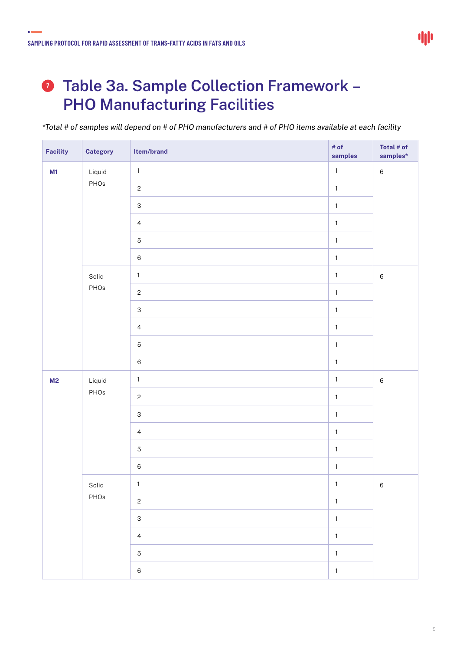$\bullet$ 

### **Table 3a. Sample Collection Framework – PHO Manufacturing Facilities**

*\*Total # of samples will depend on # of PHO manufacturers and # of PHO items available at each facility*

| Facility                 | <b>Category</b>           | Item/brand                | # of<br>samples | Total $#$ of<br>samples* |
|--------------------------|---------------------------|---------------------------|-----------------|--------------------------|
| M1                       | Liquid                    | $\mathbf{1}$              | $\mathbf{1}$    | $\,6\,$                  |
|                          | PHOs                      | $\mathbf{2}$              | $\mathbf{1}$    |                          |
|                          |                           | $\ensuremath{\mathsf{3}}$ | $\mathbf{1}$    |                          |
|                          |                           | $\overline{4}$            | $\mathbf{1}$    |                          |
|                          |                           | $\mathbf 5$               | $\mathbf{1}$    |                          |
| Solid<br>PHOs            | $\,6$                     | $\mathbf{1}$              |                 |                          |
|                          | $\mathbf 1$               | $\mathbf{1}$              | $\,6\,$         |                          |
|                          | $\mathbf{2}$              | $\mathbf 1$               |                 |                          |
|                          | $\ensuremath{\mathsf{3}}$ | $\mathbf 1$               |                 |                          |
|                          |                           | $\overline{4}$            | $\mathbf{1}$    |                          |
|                          |                           | $\mathbf 5$               | $\mathbf{1}$    |                          |
|                          |                           | $\,6\,$                   | $\mathbf{1}$    |                          |
| Liquid<br>M <sub>2</sub> | $\mathbf 1$               | $\mathbf 1$               | $\,6\,$         |                          |
|                          | PHOs                      | $\mathbf{2}$              | $\mathbf 1$     |                          |
|                          |                           | $\ensuremath{\mathsf{3}}$ | $\mathbf{1}$    |                          |
|                          |                           | $\overline{4}$            | $\mathbf 1$     |                          |
|                          |                           | $\mathbf 5$               | $\mathbf{1}$    |                          |
|                          |                           | $\,6\,$                   | $\mathbf{1}$    |                          |
|                          | Solid                     | $\mathbf 1$               | $\mathbf{1}$    | $6\overline{6}$          |
|                          | PHOs                      | $\overline{c}$            | $\mathbf 1$     |                          |
|                          |                           | $\mathbf{3}$              | $\mathbf 1$     |                          |
|                          |                           | $\overline{4}$            | $\mathbf 1$     |                          |
|                          |                           | $\overline{5}$            | $\mathbf{1}$    |                          |
|                          |                           | $\,6\,$                   | $\mathbf 1$     |                          |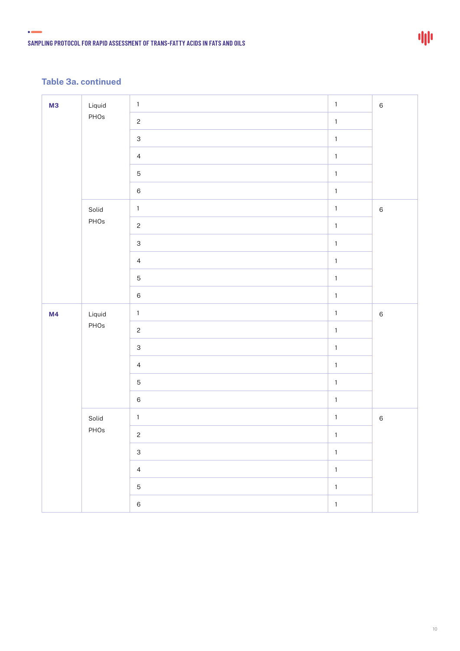$\bullet$  and  $\bullet$ 

| Liquid<br><b>M3</b><br>PHOs<br>Solid<br>PHOs |                           | $\mathbf{1}$              | $\mathbf 1$  | $\,6\,$ |
|----------------------------------------------|---------------------------|---------------------------|--------------|---------|
|                                              |                           | $\overline{c}$            | $\mathbf 1$  |         |
|                                              | $\ensuremath{\mathsf{3}}$ | $\mathbf 1$               |              |         |
|                                              |                           | $\overline{4}$            | $\mathbf{1}$ |         |
|                                              |                           | $\mathbf 5$               | $\mathbf 1$  |         |
|                                              |                           | $\,6$                     | $\mathbf 1$  |         |
|                                              |                           | $\mathbf 1$               | $\mathbf 1$  | $\,6\,$ |
|                                              |                           | $\mathbf{c}$              | $\mathbf{1}$ |         |
|                                              |                           | $\ensuremath{\mathsf{3}}$ | $\mathbf 1$  |         |
|                                              |                           | $\overline{4}$            | $\mathbf 1$  |         |
|                                              |                           | $\mathbf 5$               | $\mathbf 1$  |         |
|                                              |                           | $\,6$                     | $\mathbf 1$  |         |
| M4                                           | Liquid                    | $\mathbf{1}$              | $\mathbf 1$  | $\,6\,$ |
|                                              | PHOs                      | $\overline{c}$            | $\mathbf 1$  |         |
|                                              |                           | $\ensuremath{\mathsf{3}}$ | $\mathbf 1$  |         |
|                                              |                           | $\overline{4}$            | $\mathbf{1}$ |         |
|                                              |                           | $\mathbf 5$               | $\mathbf 1$  |         |
|                                              |                           | $\,6$                     | $\mathbf 1$  |         |
|                                              | Solid                     | $\mathbf{1}$              | $\mathbf 1$  | $\,6\,$ |
|                                              | PHOs                      | $\mathbf{2}$              | $\mathbf 1$  |         |
|                                              |                           | $\ensuremath{\mathsf{3}}$ | $\mathbf 1$  |         |
|                                              |                           | $\overline{4}$            | $\mathbf 1$  |         |
|                                              |                           | $\overline{5}$            | $\mathbf 1$  |         |
|                                              |                           | $\,6\,$                   | $\mathbf{1}$ |         |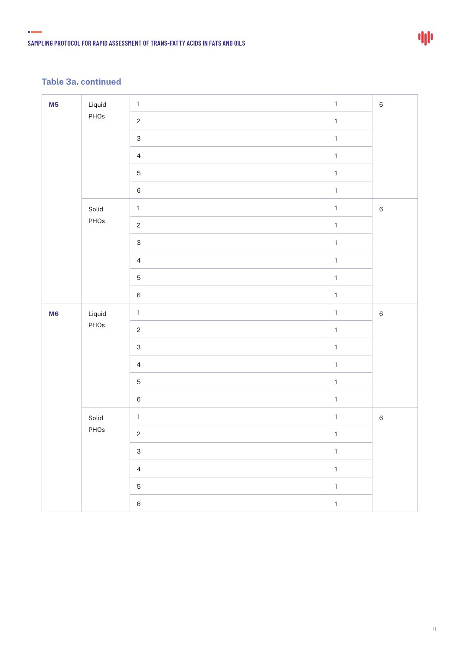$\bullet$  and  $\bullet$ 

| M <sub>5</sub> | Liquid | $\mathbf 1$               | $\mathbf 1$  | $\,6\,$ |
|----------------|--------|---------------------------|--------------|---------|
|                | PHOs   | $\overline{c}$            | $\mathbf 1$  |         |
|                |        | $\ensuremath{\mathsf{3}}$ | $\mathbf 1$  |         |
|                |        | $\overline{4}$            | $\mathbf{1}$ |         |
|                |        | $\mathbf 5$               | $\mathbf{1}$ |         |
|                |        | $\,6$                     | $\mathbf 1$  |         |
|                | Solid  | $\mathbf{1}$              | $\mathbf 1$  | $\,6\,$ |
|                | PHOs   | $\overline{c}$            | $\mathbf{1}$ |         |
|                |        | $\ensuremath{\mathsf{3}}$ | $\mathbf 1$  |         |
|                |        | $\overline{4}$            | $\mathbf 1$  |         |
|                |        | $\mathbf 5$               | $\mathbf 1$  |         |
|                |        | $\,6$                     | $\mathbf{1}$ |         |
| M6<br>PHOs     | Liquid | $\mathbf{1}$              | $\mathbf 1$  | $\,6\,$ |
|                |        | $\overline{c}$            | $\mathbf 1$  |         |
|                |        | $\ensuremath{\mathsf{3}}$ | $\mathbf 1$  |         |
|                |        | $\overline{4}$            | $\mathbf{1}$ |         |
|                |        | $\mathbf 5$               | $\mathbf 1$  |         |
|                |        | $\,6$                     | $\mathbf 1$  |         |
|                | Solid  | $\mathbf{1}$              | $\mathbf 1$  | $\,6\,$ |
|                | PHOs   | $\sqrt{2}$                | $\mathbf{1}$ |         |
|                |        | $\mathbf{3}$              | $\mathbf 1$  |         |
|                |        | $\overline{4}$            | $\mathbf 1$  |         |
|                |        | $\overline{5}$            | $\mathbf 1$  |         |
|                |        | $\,6\,$                   | $\mathbf 1$  |         |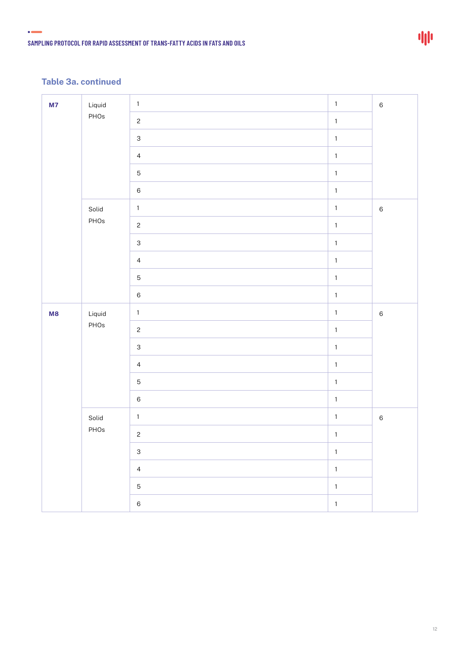$\bullet$  and  $\bullet$ 

| M7 | Liquid         | $1\,$                     | $\mathbf 1$  | $\,6\,$ |
|----|----------------|---------------------------|--------------|---------|
|    | PHOs           | $\overline{c}$            | $\mathbf 1$  |         |
|    |                | $\ensuremath{\mathsf{3}}$ | $\mathbf 1$  |         |
|    |                | $\overline{4}$            | $\mathbf{1}$ |         |
|    |                | $\mathbf 5$               | $\mathbf 1$  |         |
|    |                | $\,6\,$                   | $\mathbf 1$  |         |
|    | Solid          | $\mathbf 1$               | $\mathbf 1$  | $\,6\,$ |
|    | PHOs           | $\sqrt{2}$                | $\mathbf{1}$ |         |
|    |                | $\ensuremath{\mathsf{3}}$ | $\mathbf 1$  |         |
|    |                | $\overline{4}$            | $\mathbf 1$  |         |
|    |                | $\mathbf 5$               | $\mathbf 1$  |         |
|    |                | $\,6\,$                   | $\mathbf{1}$ |         |
| M8 | Liquid<br>PHOs | $\mathbf 1$               | $\mathbf{1}$ | $\,6\,$ |
|    |                | $\overline{c}$            | $\mathbf 1$  |         |
|    |                | $\ensuremath{\mathsf{3}}$ | $\mathbf 1$  |         |
|    |                | $\overline{4}$            | $\mathbf{1}$ |         |
|    |                | $\mathbf 5$               | $\mathbf{1}$ |         |
|    |                | $\,6\,$                   | $\mathbf 1$  |         |
|    | Solid          | $\mathbf{1}$              | $\mathbf 1$  | $\,6\,$ |
|    | PHOs           | $\mathbf{2}$              | $\mathbf{1}$ |         |
|    |                | $\ensuremath{\mathsf{3}}$ | $\mathbf 1$  |         |
|    |                | $\overline{4}$            | $\mathbf 1$  |         |
|    |                | $\mathbf 5$               | $\mathbf 1$  |         |
|    |                | $\,6\,$                   | $\mathbf{1}$ |         |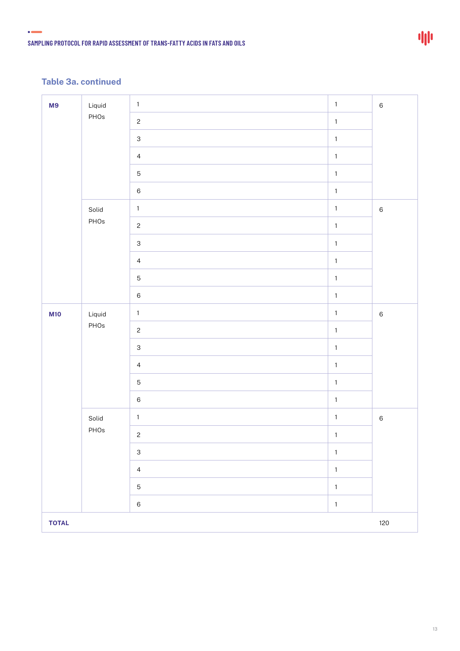$\bullet$  and  $\bullet$ 

| M9           | Liquid                    | $\mathbf{1}$              | $\mathbf{1}$ | $\,6\,$ |
|--------------|---------------------------|---------------------------|--------------|---------|
|              | PHOs                      | $\overline{c}$            | $\mathbf 1$  |         |
|              | $\ensuremath{\mathsf{3}}$ | $\mathbf 1$               |              |         |
|              | $\overline{4}$            | $\mathbf 1$               |              |         |
|              | $\mathbf 5$               | $\mathbf{1}$              |              |         |
|              |                           | $\,6\,$                   | $\mathbf 1$  |         |
|              | Solid                     | $\mathbf{1}$              | $\mathbf 1$  | $\,6\,$ |
|              | PHOs                      | $\overline{c}$            | $\mathbf{1}$ |         |
|              |                           | $\ensuremath{\mathsf{3}}$ | $\mathbf 1$  |         |
|              |                           | $\overline{4}$            | $\mathbf 1$  |         |
|              |                           | $\sqrt{5}$                | $\mathbf 1$  |         |
|              |                           | $\,6\,$                   | $\mathbf{1}$ |         |
| <b>M10</b>   | Liquid                    | $\mathbf{1}$              | $\mathbf{1}$ | $\,6\,$ |
|              | PHOs                      | $\overline{c}$            | $\mathbf 1$  |         |
|              |                           | $\mathsf{3}$              | $\mathbf 1$  |         |
|              |                           | $\overline{4}$            | $\mathbf{1}$ |         |
|              |                           | $\mathbf 5$               | $\mathbf 1$  |         |
|              |                           | $\,6$                     | $\mathbf 1$  |         |
|              | Solid                     | $\mathbf{1}$              | $\mathbf{1}$ | $\,6\,$ |
|              | PHOs                      | $\overline{c}$            | $\mathbf 1$  |         |
|              |                           | $\ensuremath{\mathsf{3}}$ | $\mathbf{1}$ |         |
|              |                           | $\overline{4}$            | $\mathbf 1$  |         |
|              |                           | $\mathbf 5$               | $\mathbf 1$  |         |
|              |                           | $\,6$                     | $\mathbf{1}$ |         |
| <b>TOTAL</b> |                           |                           |              | 120     |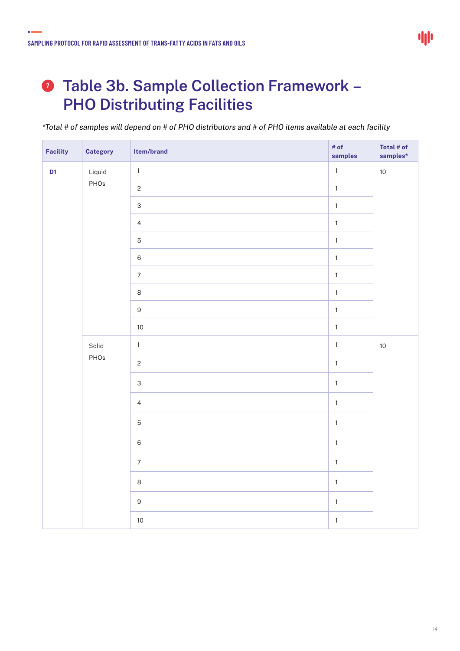$\bullet$ 

### **Table 3b. Sample Collection Framework – PHO Distributing Facilities**

*\*Total # of samples will depend on # of PHO distributors and # of PHO items available at each facility*

| Facility                 | <b>Category</b> | Item/brand                | # of<br>samples | Total # of<br>$samples*$ |
|--------------------------|-----------------|---------------------------|-----------------|--------------------------|
| Liquid<br>D <sub>1</sub> | $\mathbf 1$     | $\mathbf{1}$              | $10$            |                          |
|                          | PHOs            | $\overline{c}$            | $\mathbf{1}$    |                          |
|                          |                 | $\mathsf 3$               | $\mathbf{1}$    |                          |
|                          |                 | $\overline{4}$            | $\mathbf{1}$    |                          |
|                          | $\mathbf 5$     | $\mathbf 1$               |                 |                          |
|                          |                 | $\,$ 6 $\,$               | $\mathbf 1$     |                          |
|                          |                 | $\overline{7}$            | $\mathbf 1$     |                          |
|                          |                 | $\,8\,$                   | $\mathbf 1$     |                          |
|                          |                 | $\boldsymbol{9}$          | $\mathbf 1$     |                          |
|                          |                 | $10$                      | $\mathbf{1}$    |                          |
|                          | Solid           | $\mathbf{1}$              | $\mathbf 1$     | $10$                     |
| PHOs                     |                 | $\overline{c}$            | $\mathbf{1}$    |                          |
|                          |                 | $\ensuremath{\mathsf{3}}$ | $\mathbf{1}$    |                          |
|                          |                 | $\overline{4}$            | $\mathbf 1$     |                          |
|                          |                 | $\sqrt{5}$                | $\mathbf 1$     |                          |
|                          |                 | $\,6\,$                   | $\mathbf{1}$    |                          |
|                          |                 | $\sqrt{7}$                | $\mathbf{1}$    |                          |
|                          |                 | $\,8\,$                   | $\mathbf 1$     |                          |
|                          |                 | $\mathsf g$               | $\mathbf 1$     |                          |
|                          |                 | $10$                      | $\mathbf 1$     |                          |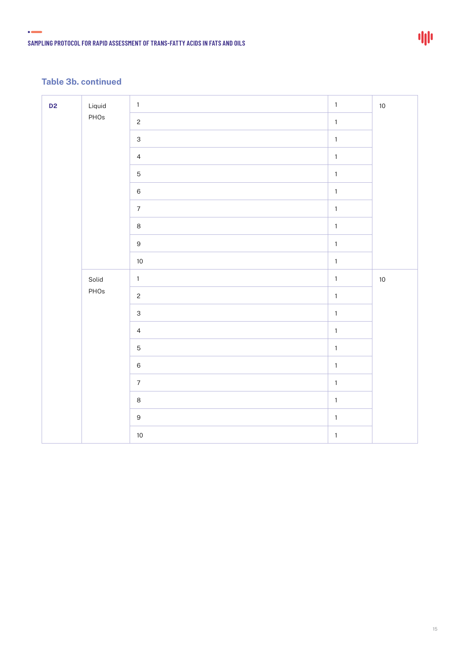$\bullet$  and  $\bullet$ 

| D <sub>2</sub> | Liquid | $\mathbf 1$               | $\mathbf{1}$ | 10     |
|----------------|--------|---------------------------|--------------|--------|
|                | PHOs   | $\overline{c}$            | $\mathbf{1}$ |        |
|                |        | $\ensuremath{\mathsf{3}}$ | $\mathbf 1$  |        |
|                |        | $\overline{4}$            | $\mathbf 1$  |        |
|                |        | $\mathbf 5$               | $\mathbf 1$  |        |
|                |        | $\,6\,$                   | $\mathbf 1$  |        |
|                |        | $\overline{7}$            | $\mathbf 1$  |        |
|                |        | $\,8\,$                   | $\mathbf 1$  |        |
|                |        | $\mathsf 9$               | $\mathbf 1$  |        |
|                |        | $10$                      | $\mathbf 1$  |        |
|                | Solid  | $\mathbf{1}$              | $\mathbf{1}$ | $10\,$ |
|                | PHOs   | $\overline{c}$            | $\mathbf 1$  |        |
|                |        | $\mathbf{3}$              | $\mathbf{1}$ |        |
|                |        | $\overline{4}$            | $\mathbf 1$  |        |
|                |        | $\sqrt{5}$                | $\mathbf{1}$ |        |
|                |        | $\,6\,$                   | $\mathbf 1$  |        |
|                |        | $\overline{7}$            | $\mathbf{1}$ |        |
|                |        | $\,8\,$                   | $\mathbf 1$  |        |
|                |        |                           |              |        |
|                |        | $\mathsf 9$               | $\mathbf 1$  |        |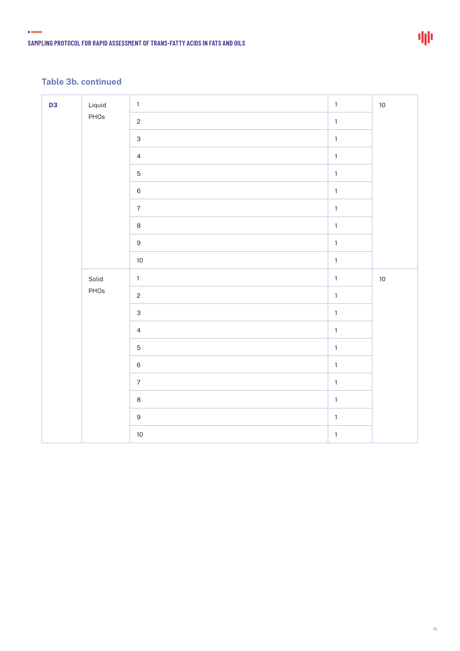$\bullet$ 

| D <sub>3</sub> | Liquid         | $\mathbf 1$               | $\mathbf 1$  | $10$   |
|----------------|----------------|---------------------------|--------------|--------|
|                | PHOs           | $\overline{c}$            | $\mathbf 1$  |        |
|                |                | $\ensuremath{\mathsf{3}}$ | $\mathbf{1}$ |        |
|                | $\overline{4}$ | $\mathbf{1}$              |              |        |
|                |                | $\sqrt{5}$                | $\mathbf 1$  |        |
|                |                | $\,6\,$                   | $\mathbf 1$  |        |
|                |                | $\overline{7}$            | $\mathbf{1}$ |        |
|                |                | $\,8\,$                   | $\mathbf 1$  |        |
|                |                | $\boldsymbol{9}$          | $\mathbf{1}$ |        |
|                |                | $10$                      | $\mathbf 1$  |        |
|                | Solid          | $\mathbf 1$               | $\mathbf{1}$ | $10\,$ |
|                | PHOs           | $\sqrt{2}$                | $\mathbf{1}$ |        |
|                |                | $\ensuremath{\mathsf{3}}$ | $\mathbf 1$  |        |
|                |                | $\overline{4}$            | $\mathbf 1$  |        |
|                |                | $\mathbf 5$               | $\mathbf{1}$ |        |
|                |                | $\,6\,$                   | $\mathbf 1$  |        |
|                |                | $\overline{7}$            | $\mathbf 1$  |        |
|                |                | $\,8\,$                   | $\mathbf 1$  |        |
|                |                | $\boldsymbol{9}$          | $\mathbf{1}$ |        |
|                |                | $10$                      | $\mathbf{1}$ |        |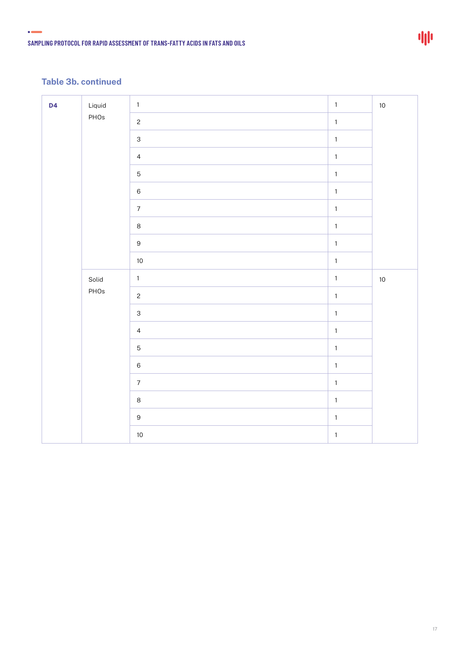$\bullet$ 

| D <sub>4</sub> | Liquid      | $1\,$                     | $\mathbf 1$ | $10$ |
|----------------|-------------|---------------------------|-------------|------|
|                | PHOs        | $\overline{c}$            | $\mathbf 1$ |      |
|                |             | $\ensuremath{\mathsf{3}}$ | $\mathbf 1$ |      |
|                |             | $\overline{4}$            | $\mathbf 1$ |      |
|                | $\mathbf 5$ | $\mathbf 1$               |             |      |
|                |             | $\,6$                     | $\mathbf 1$ |      |
|                |             | $\overline{7}$            | $\mathbf 1$ |      |
|                |             | $\,8\,$                   | $\mathbf 1$ |      |
|                |             | $\hbox{9}$                | $\mathbf 1$ |      |
|                |             | $10$                      | $\mathbf 1$ |      |
|                | Solid       | $\mathbf{1}$              | $\mathbf 1$ | $10$ |
|                | PHOs        | $\overline{c}$            | $\mathbf 1$ |      |
|                |             | $\mathsf 3$               | $\mathbf 1$ |      |
|                |             | $\overline{4}$            | $\mathbf 1$ |      |
|                |             | $\mathbf 5$               | $\mathbf 1$ |      |
|                |             | $\,6\,$                   | $\mathbf 1$ |      |
|                |             | $\overline{7}$            | $\mathbf 1$ |      |
|                |             | $\,8\,$                   | $\mathbf 1$ |      |
|                |             |                           |             |      |
|                |             | $\hbox{9}$                | $\mathbf 1$ |      |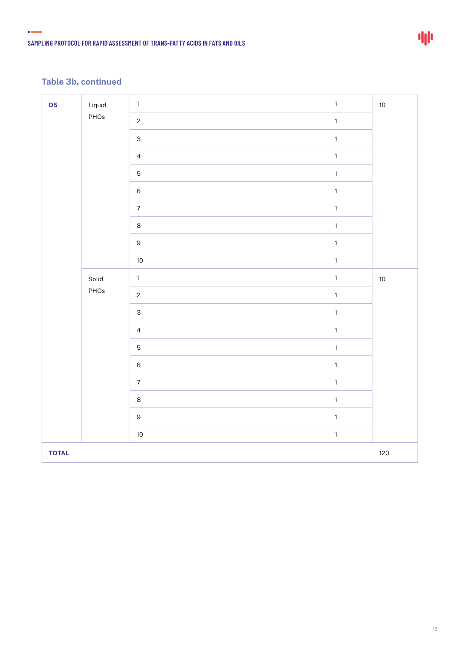$\bullet$ 

| D <sub>5</sub> | Liquid<br>PHOs | $\mathbf{1}$              | $\mathbf 1$  | $10$ |
|----------------|----------------|---------------------------|--------------|------|
|                |                | $\overline{c}$            | $\mathbf 1$  |      |
|                |                | $\ensuremath{\mathsf{3}}$ | $\mathbf 1$  |      |
|                |                | $\overline{4}$            | $\mathbf 1$  |      |
|                |                | $\mathbf 5$               | $\mathbf{1}$ |      |
|                |                | $\,6$                     | $\mathbf{1}$ |      |
|                |                | $\overline{7}$            | $\mathbf 1$  |      |
|                |                | $\,8\,$                   | $\mathbf 1$  |      |
|                |                | $\boldsymbol{9}$          | $\mathbf 1$  |      |
|                |                | $10$                      | $\mathbf 1$  |      |
|                | Solid<br>PHOs  | $\mathbf 1$               | $\mathbf 1$  | $10$ |
|                |                | $\overline{c}$            | $\mathbf 1$  |      |
|                |                | $\mathbf{3}$              | $\mathbf{1}$ |      |
|                |                | $\overline{4}$            | $\mathbf{1}$ |      |
|                |                | $\mathbf 5$               | $\mathbf{1}$ |      |
|                |                | $\,6\,$                   | $\mathbf 1$  |      |
|                |                | $\overline{7}$            | $\mathbf{1}$ |      |
|                |                | $\,8\,$                   | $\mathbf 1$  |      |
|                |                | $\boldsymbol{9}$          | $\mathbf{1}$ |      |
|                |                | $10$                      | $\mathbf 1$  |      |
| <b>TOTAL</b>   |                |                           |              | 120  |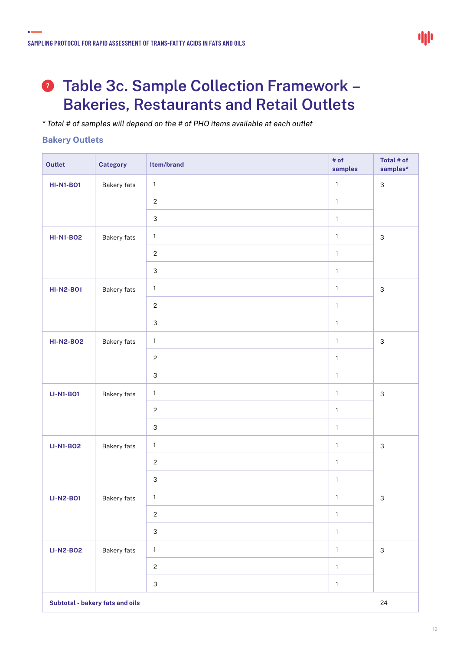### **Table 3c. Sample Collection Framework – 7Bakeries, Restaurants and Retail Outlets**

*\* Total # of samples will depend on the # of PHO items available at each outlet*

#### **Bakery Outlets**

 $\bullet$ 

| <b>Outlet</b>                         | <b>Category</b>    | Item/brand                | # of<br>samples | Total # of<br>$samples*$  |  |
|---------------------------------------|--------------------|---------------------------|-----------------|---------------------------|--|
| <b>HI-N1-BO1</b>                      | Bakery fats        | $\mathbf 1$               | $\mathbf{1}$    | $\ensuremath{\mathsf{3}}$ |  |
|                                       |                    | $\mathbf{c}$              | $\mathbf{1}$    |                           |  |
|                                       |                    | $\ensuremath{\mathsf{3}}$ | $\mathbf{1}$    |                           |  |
| <b>HI-N1-BO2</b>                      | <b>Bakery fats</b> | $\mathbf{1}$              | $\mathbf{1}$    | $\mathsf 3$               |  |
|                                       |                    | $\mathbf{c}$              | $\mathbf{1}$    |                           |  |
|                                       |                    | $\ensuremath{\mathsf{3}}$ | $\mathbf{1}$    |                           |  |
| <b>HI-N2-B01</b>                      | Bakery fats        | $\mathbf{1}$              | $\mathbf{1}$    | $\mathsf 3$               |  |
|                                       |                    | $\mathbf{c}$              | $\mathbf{1}$    |                           |  |
|                                       |                    | $\ensuremath{\mathsf{3}}$ | $\mathbf{1}$    |                           |  |
| <b>HI-N2-BO2</b>                      | Bakery fats        | $\mathbf{1}$              | $\mathbf{1}$    | $\ensuremath{\mathsf{3}}$ |  |
|                                       |                    | $\mathbf{2}$              | $\mathbf{1}$    |                           |  |
|                                       |                    | $\ensuremath{\mathsf{3}}$ | $\mathbf{1}$    |                           |  |
| <b>LI-N1-BO1</b>                      | <b>Bakery fats</b> | $\mathbf{1}$              | $\mathbf{1}$    | $\mathsf 3$               |  |
|                                       |                    | $\mathbf{c}$              | $\mathbf 1$     |                           |  |
|                                       |                    | $\ensuremath{\mathsf{3}}$ | $\mathbf{1}$    |                           |  |
| <b>LI-N1-BO2</b>                      | Bakery fats        | $\mathbf{1}$              | $\mathbf{1}$    | $\mathsf 3$               |  |
|                                       |                    | $\mathbf{c}$              | $\mathbf{1}$    |                           |  |
|                                       |                    | $\ensuremath{\mathsf{3}}$ | $\mathbf{1}$    |                           |  |
| <b>LI-N2-B01</b>                      | Bakery fats        | $\mathbf{1}$              | $\mathbf{1}$    | $\mathbf{3}$              |  |
|                                       |                    | $\mathbf{c}$              | $\mathbf{1}$    |                           |  |
|                                       |                    | $\ensuremath{\mathsf{3}}$ | $\mathbf{1}$    |                           |  |
| <b>LI-N2-B02</b>                      | Bakery fats        | $\mathbf{1}$              | $\mathbf{1}$    | $\ensuremath{\mathsf{3}}$ |  |
|                                       |                    | $\mathbf{c}$              | $\mathbf{1}$    |                           |  |
|                                       |                    | $\ensuremath{\mathsf{3}}$ | $\mathbf{1}$    |                           |  |
| Subtotal - bakery fats and oils<br>24 |                    |                           |                 |                           |  |

19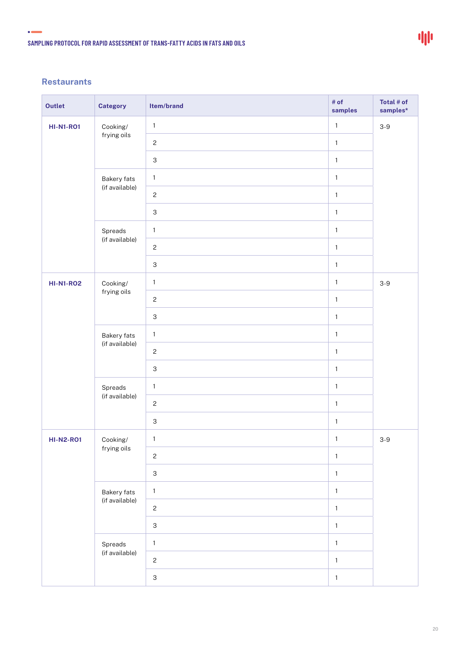#### **Restaurants**

 $\bullet$ 

| <b>Outlet</b>    | <b>Category</b>               | Item/brand                | # of<br>samples | Total # of<br>$samples*$ |
|------------------|-------------------------------|---------------------------|-----------------|--------------------------|
| <b>HI-N1-RO1</b> | Cooking/<br>frying oils       | $\mathbf{1}$              | $\mathbf{1}$    | $3-9$                    |
|                  |                               | $\mathbf{2}$              | $\mathbf{1}$    |                          |
|                  |                               | $\mathsf 3$               | $\mathbf{1}$    |                          |
|                  | Bakery fats<br>(if available) | $\mathbf{1}$              | $\mathbf{1}$    |                          |
|                  |                               | $\mathbf{2}$              | $\mathbf{1}$    |                          |
|                  |                               | $\ensuremath{\mathsf{3}}$ | $\mathbf{1}$    |                          |
|                  | Spreads                       | $\mathbf{1}$              | $\mathbf{1}$    |                          |
|                  | (if available)                | $\mathbf{2}$              | $\mathbf{1}$    |                          |
|                  |                               | $\ensuremath{\mathsf{3}}$ | $\mathbf{1}$    |                          |
| <b>HI-N1-RO2</b> | Cooking/<br>frying oils       | $\mathbf{1}$              | $\mathbf{1}$    | $3-9$                    |
|                  |                               | $\overline{c}$            | $\mathbf{1}$    |                          |
|                  |                               | $\ensuremath{\mathsf{3}}$ | $\mathbf{1}$    |                          |
|                  | Bakery fats<br>(if available) | $\mathbf{1}$              | $\mathbf{1}$    |                          |
|                  |                               | $\mathbf{2}$              | $\mathbf{1}$    |                          |
|                  |                               | $\ensuremath{\mathsf{3}}$ | $\mathbf{1}$    |                          |
|                  | Spreads<br>(if available)     | $\mathbf{1}$              | $\mathbf{1}$    |                          |
|                  |                               | $\mathbf{2}$              | $\mathbf{1}$    |                          |
|                  |                               | $\ensuremath{\mathsf{3}}$ | $\mathbf{1}$    |                          |
| <b>HI-N2-R01</b> | Cooking/<br>frying oils       | $\mathbf{1}$              | $\mathbf{1}$    | $3-9$                    |
|                  |                               | $\mathbf{2}$              | $\mathbf{1}$    |                          |
|                  |                               | $\ensuremath{\mathsf{3}}$ | $\mathbf{1}$    |                          |
|                  | Bakery fats                   | $\mathbf{1}$              | $\mathbf{1}$    |                          |
|                  | (if available)                | $\mathbf{2}$              | $\mathbf{1}$    |                          |
|                  |                               | $\ensuremath{\mathsf{3}}$ | $\mathbf{1}$    |                          |
|                  | Spreads<br>(if available)     | $\mathbf{1}$              | $\mathbf{1}$    |                          |
|                  |                               | $\mathbf{2}$              | $\mathbf{1}$    |                          |
|                  |                               | $\ensuremath{\mathsf{3}}$ | $\mathbf 1$     |                          |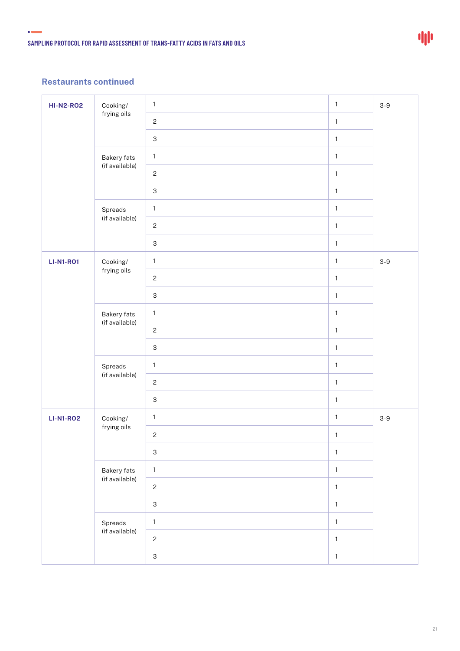#### **Restaurants continued**

 $\bullet$ 

| <b>HI-N2-R02</b> | Cooking/                             | $\mathbf{1}$              | $\mathbf{1}$ | $3-9$ |
|------------------|--------------------------------------|---------------------------|--------------|-------|
|                  | frying oils                          | $\mathbf{2}$              | $\mathbf{1}$ |       |
|                  |                                      | $\ensuremath{\mathsf{3}}$ | $\mathbf{1}$ |       |
|                  | Bakery fats<br>(if available)        | $\mathbf 1$               | $\mathbf{1}$ |       |
|                  |                                      | $\mathbf{2}$              | $\mathbf{1}$ |       |
|                  |                                      | $\ensuremath{\mathsf{3}}$ | $\mathbf{1}$ |       |
|                  | Spreads<br>(if available)            | $\mathbf{1}$              | $\mathbf{1}$ |       |
|                  |                                      | $\mathbf{2}$              | $\mathbf{1}$ |       |
|                  |                                      | $\ensuremath{\mathsf{3}}$ | $\mathbf{1}$ |       |
| <b>LI-N1-R01</b> | Cooking/<br>frying oils              | $\mathbf{1}$              | $\mathbf{1}$ | $3-9$ |
|                  |                                      | $\mathbf{2}$              | $\mathbf{1}$ |       |
|                  |                                      | $\ensuremath{\mathsf{3}}$ | $\mathbf{1}$ |       |
|                  | Bakery fats<br>(if available)        | $\mathbf 1$               | $\mathbf{1}$ |       |
|                  |                                      | $\mathbf{2}$              | $\mathbf{1}$ |       |
|                  |                                      | $\ensuremath{\mathsf{3}}$ | $\mathbf{1}$ |       |
|                  | Spreads<br>(if available)            | $\mathbf{1}$              | $\mathbf{1}$ |       |
|                  |                                      | $\mathbf{2}$              | $\mathbf{1}$ |       |
|                  |                                      | $\ensuremath{\mathsf{3}}$ | $\mathbf{1}$ |       |
| <b>LI-N1-RO2</b> | Cooking/<br>frying oils              | $\mathbf{1}$              | $\mathbf{1}$ | $3-9$ |
|                  |                                      | $\mathbf{c}$              | $\mathbf{1}$ |       |
|                  |                                      | $\ensuremath{\mathsf{3}}$ | $\mathbf{1}$ |       |
|                  | <b>Bakery fats</b><br>(if available) | $\mathbf 1$               | $\mathbf{1}$ |       |
|                  |                                      | $\sqrt{2}$                | $\mathbf{1}$ |       |
|                  |                                      | $\ensuremath{\mathsf{3}}$ | $\mathbf{1}$ |       |
|                  | Spreads<br>(if available)            | $\mathbf{1}$              | $\mathbf 1$  |       |
|                  |                                      | $\mathbf{2}$              | $\mathbf{1}$ |       |
|                  |                                      | $\ensuremath{\mathsf{3}}$ | $\mathbf{1}$ |       |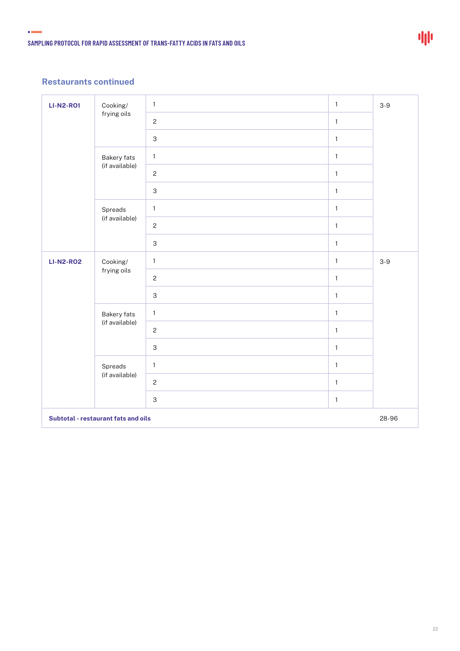#### **Restaurants continued**

 $\bullet$ 

| <b>LI-N2-R01</b>                    | Cooking/<br>frying oils              | $\mathbf{1}$              | $\mathbf{1}$ | $3-9$ |
|-------------------------------------|--------------------------------------|---------------------------|--------------|-------|
|                                     |                                      | $\overline{c}$            | $\mathbf{1}$ |       |
|                                     |                                      | $\mathsf 3$               | $\mathbf{1}$ |       |
|                                     | <b>Bakery fats</b><br>(if available) | $\mathbf{1}$              | $\mathbf{1}$ |       |
|                                     |                                      | $\overline{c}$            | $\mathbf{1}$ |       |
|                                     |                                      | 3                         | $\mathbf{1}$ |       |
|                                     | Spreads<br>(if available)            | $\mathbf{1}$              | $\mathbf{1}$ |       |
|                                     |                                      | $\overline{c}$            | $\mathbf{1}$ |       |
|                                     |                                      | $\ensuremath{\mathsf{3}}$ | $\mathbf{1}$ |       |
| <b>LI-N2-R02</b>                    | Cooking/<br>frying oils              | $\mathbf{1}$              | $\mathbf{1}$ | $3-9$ |
|                                     |                                      | $\overline{c}$            | $\mathbf{1}$ |       |
|                                     |                                      | $\ensuremath{\mathsf{3}}$ | $\mathbf{1}$ |       |
|                                     | <b>Bakery fats</b><br>(if available) | $\mathbf{1}$              | $\mathbf{1}$ |       |
|                                     |                                      | $\overline{c}$            | $\mathbf{1}$ |       |
|                                     |                                      | $\mathsf 3$               | $\mathbf{1}$ |       |
|                                     | Spreads<br>(if available)            | $\mathbf{1}$              | $\mathbf{1}$ |       |
|                                     |                                      | $\overline{c}$            | $\mathbf{1}$ |       |
|                                     |                                      | $\ensuremath{\mathsf{3}}$ | $\mathbf{1}$ |       |
| Subtotal - restaurant fats and oils |                                      |                           | 28-96        |       |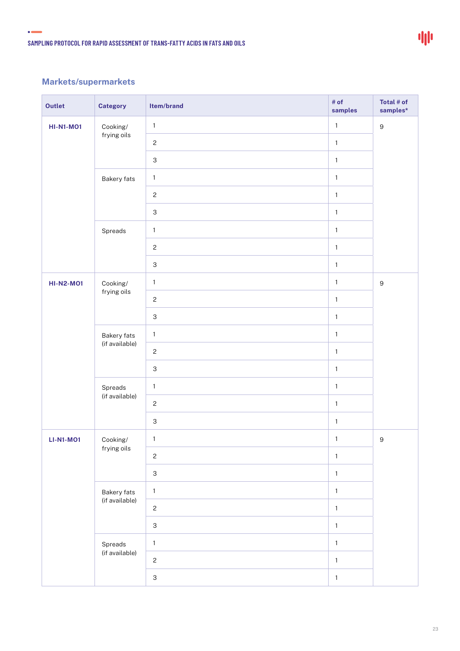### 中

### **Markets/supermarkets**

 $\bullet$ 

| <b>Outlet</b>    | <b>Category</b>               | Item/brand                | # of<br>samples | Total # of<br>$samples*$ |
|------------------|-------------------------------|---------------------------|-----------------|--------------------------|
| <b>HI-N1-MO1</b> | Cooking/<br>frying oils       | $\mathbf{1}$              | $\mathbf{1}$    | $\boldsymbol{9}$         |
|                  |                               | $\mathbf{2}$              | $\mathbf{1}$    |                          |
|                  |                               | $\mathsf 3$               | $\mathbf{1}$    |                          |
|                  | Bakery fats                   | $\mathbf{1}$              | $\mathbf{1}$    |                          |
|                  |                               | $\mathbf{2}$              | $\mathbf{1}$    |                          |
|                  |                               | $\ensuremath{\mathsf{3}}$ | $\mathbf{1}$    |                          |
|                  | Spreads                       | $\mathbf 1$               | $\mathbf{1}$    |                          |
|                  |                               | $\mathbf{2}$              | $\mathbf{1}$    |                          |
|                  |                               | $\ensuremath{\mathsf{3}}$ | $\mathbf{1}$    |                          |
| <b>HI-N2-M01</b> | Cooking/                      | $\mathbf{1}$              | $\mathbf{1}$    | $\boldsymbol{9}$         |
|                  | frying oils                   | $\mathbf{2}$              | $\mathbf{1}$    |                          |
|                  |                               | $\mathsf 3$               | $\mathbf 1$     |                          |
|                  | Bakery fats<br>(if available) | $\mathbf{1}$              | $\mathbf{1}$    |                          |
|                  |                               | $\mathbf{2}$              | $\mathbf{1}$    |                          |
|                  |                               | $\ensuremath{\mathsf{3}}$ | $\mathbf{1}$    |                          |
|                  | Spreads<br>(if available)     | $\mathbf{1}$              | $\mathbf{1}$    |                          |
|                  |                               | $\mathbf{2}$              | $\mathbf{1}$    |                          |
|                  |                               | $\ensuremath{\mathsf{3}}$ | $\mathbf{1}$    |                          |
| <b>LI-N1-MO1</b> | Cooking/<br>frying oils       | $\mathbf{1}$              | $\mathbf{1}$    | $9\,$                    |
|                  |                               | $\sqrt{2}$                | $\mathbf{1}$    |                          |
|                  |                               | $\ensuremath{\mathsf{3}}$ | $\mathbf{1}$    |                          |
|                  | <b>Bakery fats</b>            | $\mathbf{1}$              | $\mathbf{1}$    |                          |
|                  | (if available)                | $\mathbf{2}$              | $\mathbf{1}$    |                          |
|                  |                               | $\ensuremath{\mathsf{3}}$ | $\mathbf{1}$    |                          |
|                  | Spreads                       | $\mathbf{1}$              | $\mathbf 1$     |                          |
|                  | (if available)                | $\overline{c}$            | $\mathbf{1}$    |                          |
|                  |                               | $\ensuremath{\mathsf{3}}$ | $\mathbf{1}$    |                          |